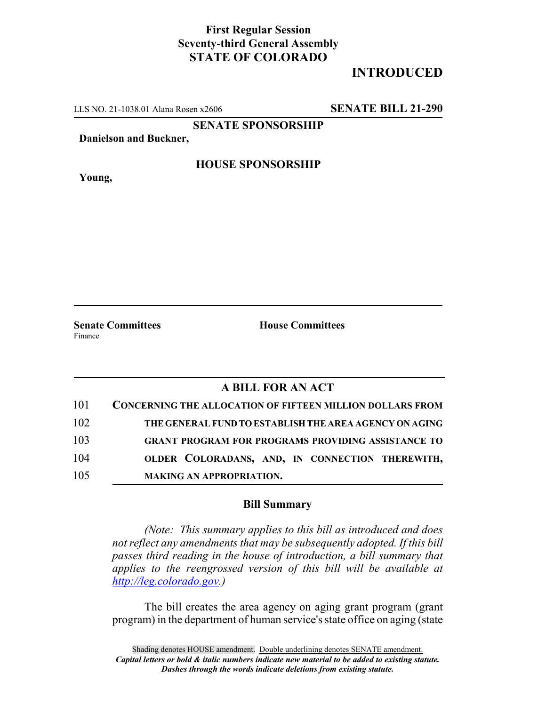## **First Regular Session Seventy-third General Assembly STATE OF COLORADO**

## **INTRODUCED**

LLS NO. 21-1038.01 Alana Rosen x2606 **SENATE BILL 21-290**

**SENATE SPONSORSHIP**

**Danielson and Buckner,**

**HOUSE SPONSORSHIP**

**Young,**

Finance

**Senate Committees House Committees** 

## **A BILL FOR AN ACT**

| 101 | <b>CONCERNING THE ALLOCATION OF FIFTEEN MILLION DOLLARS FROM</b> |
|-----|------------------------------------------------------------------|
| 102 | THE GENERAL FUND TO ESTABLISH THE AREA AGENCY ON AGING           |
| 103 | <b>GRANT PROGRAM FOR PROGRAMS PROVIDING ASSISTANCE TO</b>        |
| 104 | OLDER COLORADANS, AND, IN CONNECTION THEREWITH,                  |
| 105 | <b>MAKING AN APPROPRIATION.</b>                                  |

## **Bill Summary**

*(Note: This summary applies to this bill as introduced and does not reflect any amendments that may be subsequently adopted. If this bill passes third reading in the house of introduction, a bill summary that applies to the reengrossed version of this bill will be available at http://leg.colorado.gov.)*

The bill creates the area agency on aging grant program (grant program) in the department of human service's state office on aging (state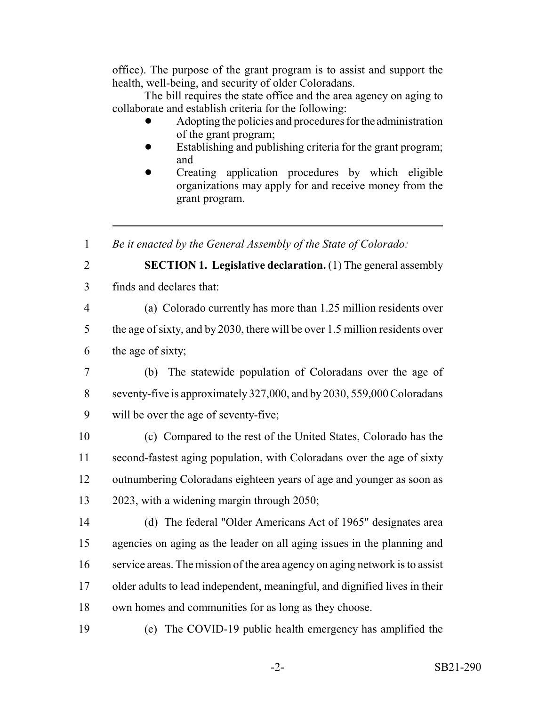office). The purpose of the grant program is to assist and support the health, well-being, and security of older Coloradans.

The bill requires the state office and the area agency on aging to collaborate and establish criteria for the following:

- Adopting the policies and procedures for the administration of the grant program;
- Establishing and publishing criteria for the grant program; and
- Creating application procedures by which eligible organizations may apply for and receive money from the grant program.

*Be it enacted by the General Assembly of the State of Colorado:*

- 
- **SECTION 1. Legislative declaration.** (1) The general assembly
- finds and declares that:
- 

(a) Colorado currently has more than 1.25 million residents over

 the age of sixty, and by 2030, there will be over 1.5 million residents over the age of sixty;

- 
- (b) The statewide population of Coloradans over the age of seventy-five is approximately 327,000, and by 2030, 559,000 Coloradans will be over the age of seventy-five;

 (c) Compared to the rest of the United States, Colorado has the second-fastest aging population, with Coloradans over the age of sixty outnumbering Coloradans eighteen years of age and younger as soon as 2023, with a widening margin through 2050;

 (d) The federal "Older Americans Act of 1965" designates area agencies on aging as the leader on all aging issues in the planning and service areas. The mission of the area agency on aging network is to assist older adults to lead independent, meaningful, and dignified lives in their own homes and communities for as long as they choose.

(e) The COVID-19 public health emergency has amplified the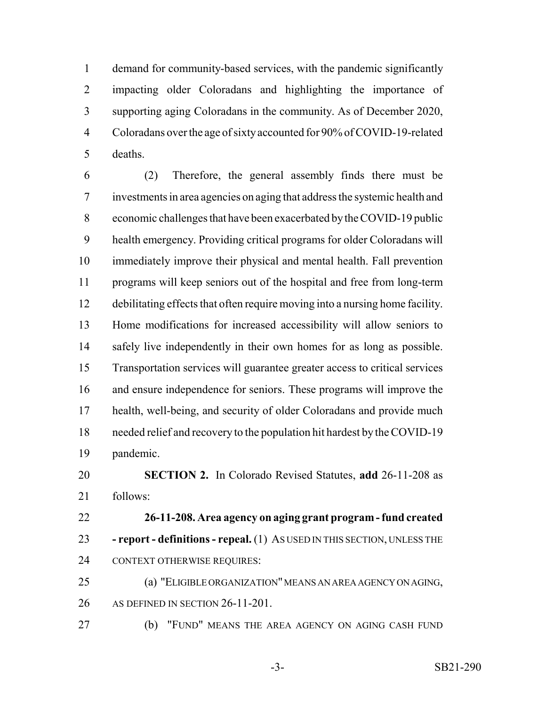demand for community-based services, with the pandemic significantly impacting older Coloradans and highlighting the importance of supporting aging Coloradans in the community. As of December 2020, Coloradans over the age of sixty accounted for 90% of COVID-19-related deaths.

 (2) Therefore, the general assembly finds there must be investments in area agencies on aging that address the systemic health and economic challenges that have been exacerbated by the COVID-19 public health emergency. Providing critical programs for older Coloradans will immediately improve their physical and mental health. Fall prevention programs will keep seniors out of the hospital and free from long-term debilitating effects that often require moving into a nursing home facility. Home modifications for increased accessibility will allow seniors to safely live independently in their own homes for as long as possible. Transportation services will guarantee greater access to critical services and ensure independence for seniors. These programs will improve the health, well-being, and security of older Coloradans and provide much needed relief and recovery to the population hit hardest by the COVID-19 pandemic.

 **SECTION 2.** In Colorado Revised Statutes, **add** 26-11-208 as follows:

 **26-11-208. Area agency on aging grant program - fund created - report - definitions - repeal.** (1) AS USED IN THIS SECTION, UNLESS THE CONTEXT OTHERWISE REQUIRES:

 (a) "ELIGIBLE ORGANIZATION" MEANS AN AREA AGENCY ON AGING, 26 AS DEFINED IN SECTION 26-11-201.

(b) "FUND" MEANS THE AREA AGENCY ON AGING CASH FUND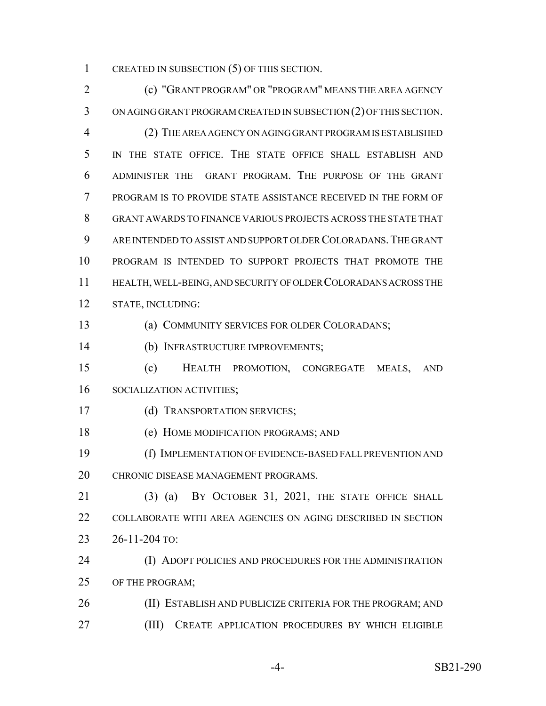1 CREATED IN SUBSECTION (5) OF THIS SECTION.

 (c) "GRANT PROGRAM" OR "PROGRAM" MEANS THE AREA AGENCY ON AGING GRANT PROGRAM CREATED IN SUBSECTION (2) OF THIS SECTION. (2) THE AREA AGENCY ON AGING GRANT PROGRAM IS ESTABLISHED IN THE STATE OFFICE. THE STATE OFFICE SHALL ESTABLISH AND ADMINISTER THE GRANT PROGRAM. THE PURPOSE OF THE GRANT PROGRAM IS TO PROVIDE STATE ASSISTANCE RECEIVED IN THE FORM OF GRANT AWARDS TO FINANCE VARIOUS PROJECTS ACROSS THE STATE THAT ARE INTENDED TO ASSIST AND SUPPORT OLDER COLORADANS.THE GRANT PROGRAM IS INTENDED TO SUPPORT PROJECTS THAT PROMOTE THE HEALTH, WELL-BEING, AND SECURITY OF OLDER COLORADANS ACROSS THE STATE, INCLUDING: (a) COMMUNITY SERVICES FOR OLDER COLORADANS; (b) INFRASTRUCTURE IMPROVEMENTS; (c) HEALTH PROMOTION, CONGREGATE MEALS, AND SOCIALIZATION ACTIVITIES; (d) TRANSPORTATION SERVICES; (e) HOME MODIFICATION PROGRAMS; AND (f) IMPLEMENTATION OF EVIDENCE-BASED FALL PREVENTION AND 20 CHRONIC DISEASE MANAGEMENT PROGRAMS. (3) (a) BY OCTOBER 31, 2021, THE STATE OFFICE SHALL COLLABORATE WITH AREA AGENCIES ON AGING DESCRIBED IN SECTION 26-11-204 TO: (I) ADOPT POLICIES AND PROCEDURES FOR THE ADMINISTRATION OF THE PROGRAM; 26 (II) ESTABLISH AND PUBLICIZE CRITERIA FOR THE PROGRAM; AND (III) CREATE APPLICATION PROCEDURES BY WHICH ELIGIBLE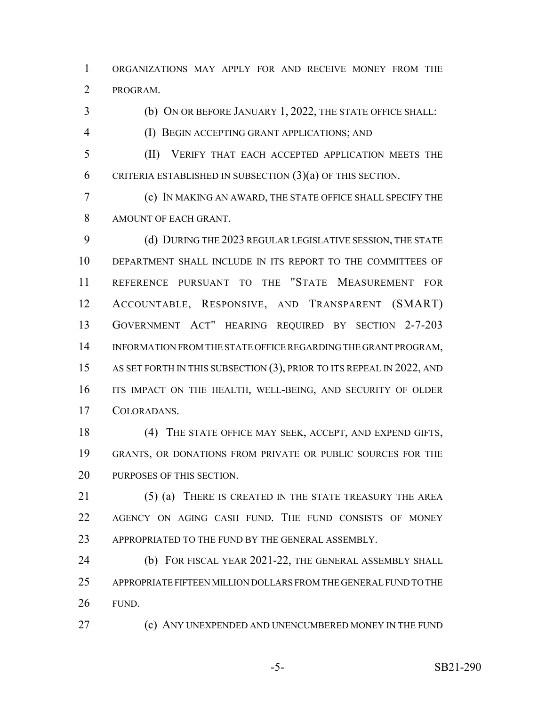ORGANIZATIONS MAY APPLY FOR AND RECEIVE MONEY FROM THE PROGRAM.

 (b) ON OR BEFORE JANUARY 1, 2022, THE STATE OFFICE SHALL: (I) BEGIN ACCEPTING GRANT APPLICATIONS; AND

 (II) VERIFY THAT EACH ACCEPTED APPLICATION MEETS THE 6 CRITERIA ESTABLISHED IN SUBSECTION  $(3)(a)$  OF THIS SECTION.

 (c) IN MAKING AN AWARD, THE STATE OFFICE SHALL SPECIFY THE AMOUNT OF EACH GRANT.

 (d) DURING THE 2023 REGULAR LEGISLATIVE SESSION, THE STATE DEPARTMENT SHALL INCLUDE IN ITS REPORT TO THE COMMITTEES OF REFERENCE PURSUANT TO THE "STATE MEASUREMENT FOR ACCOUNTABLE, RESPONSIVE, AND TRANSPARENT (SMART) GOVERNMENT ACT" HEARING REQUIRED BY SECTION 2-7-203 INFORMATION FROM THE STATE OFFICE REGARDING THE GRANT PROGRAM, 15 AS SET FORTH IN THIS SUBSECTION (3), PRIOR TO ITS REPEAL IN 2022, AND ITS IMPACT ON THE HEALTH, WELL-BEING, AND SECURITY OF OLDER COLORADANS.

 (4) THE STATE OFFICE MAY SEEK, ACCEPT, AND EXPEND GIFTS, GRANTS, OR DONATIONS FROM PRIVATE OR PUBLIC SOURCES FOR THE PURPOSES OF THIS SECTION.

 (5) (a) THERE IS CREATED IN THE STATE TREASURY THE AREA AGENCY ON AGING CASH FUND. THE FUND CONSISTS OF MONEY 23 APPROPRIATED TO THE FUND BY THE GENERAL ASSEMBLY.

 (b) FOR FISCAL YEAR 2021-22, THE GENERAL ASSEMBLY SHALL APPROPRIATE FIFTEEN MILLION DOLLARS FROM THE GENERAL FUND TO THE FUND.

**(c) ANY UNEXPENDED AND UNENCUMBERED MONEY IN THE FUND**